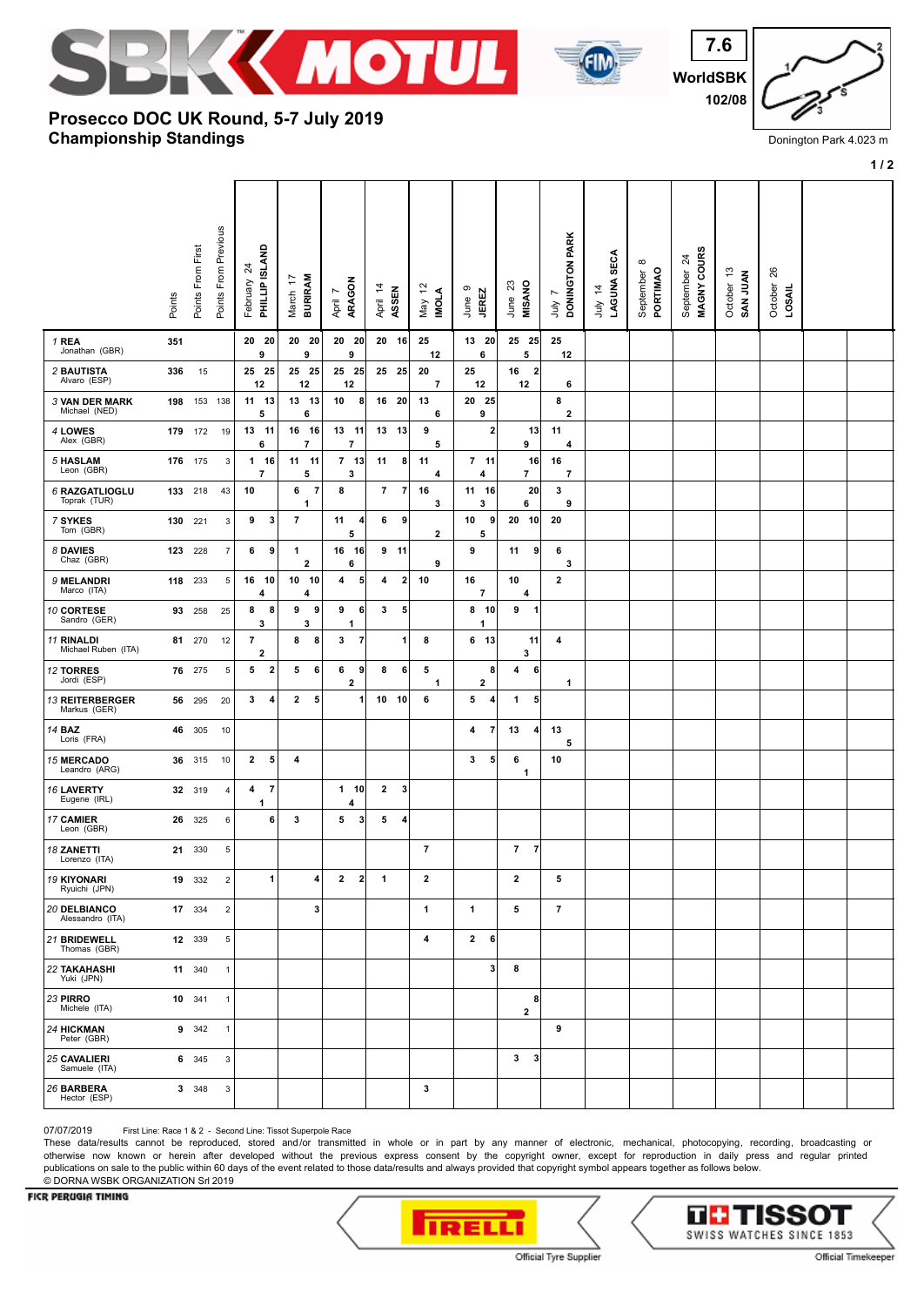





## **Championship Standings Prosecco DOC UK Round, 5-7 July 2019**

| Donington Park 4.023 m |  |  |
|------------------------|--|--|

**1 / 2**

|                                         | Points | Points From First | Points From Previous    | PHILLIP ISLAND<br>$\overline{24}$<br>February | <b>BURIRAM</b><br>$\overline{1}$<br>March | ARAGON<br>$\overline{ }$<br>April | April 14<br>ASSEN                          | 5,<br><b>INOLA</b><br>Vay     | ၜ<br><b>JEREZ</b><br>June    | June 23<br>MISANO              | DONINGTON PARK<br>Ľ<br>λη    | LAGUNA SECA<br>$\dot{z}$<br>ylnr | $\infty$<br>PORTIMAO<br>September | MAGNY COURS<br>$\overline{a}$<br>September | October 13<br>SAN JUAN | 26<br>October<br>LOSAIL |  |
|-----------------------------------------|--------|-------------------|-------------------------|-----------------------------------------------|-------------------------------------------|-----------------------------------|--------------------------------------------|-------------------------------|------------------------------|--------------------------------|------------------------------|----------------------------------|-----------------------------------|--------------------------------------------|------------------------|-------------------------|--|
| 1 REA<br>Jonathan (GBR)                 | 351    |                   |                         | 20 20<br>9                                    | 20 20<br>9                                | $20$ 20<br>9                      | 20 16                                      | 25<br>12                      | 13 20<br>6                   | 25 25<br>5                     | 25<br>12                     |                                  |                                   |                                            |                        |                         |  |
| 2 BAUTISTA<br>Alvaro (ESP)              | 336    | 15                |                         | 25 25<br>12                                   | 25 25<br>12                               | 25 25<br>12                       | 25 25                                      | 20<br>$\overline{\mathbf{r}}$ | 25<br>12                     | 16<br>$\overline{2}$<br>12     | 6                            |                                  |                                   |                                            |                        |                         |  |
| <b>3 VAN DER MARK</b><br>Michael (NED)  |        | 198 153 138       |                         | 11 13<br>5                                    | 13 13<br>6                                | 10<br>8                           | - 20<br>16                                 | 13<br>6                       | 20 25<br>9                   |                                | 8<br>$\overline{\mathbf{2}}$ |                                  |                                   |                                            |                        |                         |  |
| 4 LOWES<br>Alex (GBR)                   |        | 179 172           | 19                      | 13 11<br>6                                    | 16 16<br>$\overline{7}$                   | 13 11<br>$\overline{\phantom{a}}$ | 13 13                                      | 9<br>5                        | 2                            | 13<br>9                        | 11<br>4                      |                                  |                                   |                                            |                        |                         |  |
| 5 HASLAM<br>Leon (GBR)                  |        | 176 175           | 3                       | 1 16<br>7                                     | 11 11<br>5                                | $7$ 13<br>3                       | 11<br>8                                    | 11<br>4                       | 7 <sub>11</sub><br>4         | 16<br>7                        | 16<br>7                      |                                  |                                   |                                            |                        |                         |  |
| 6 RAZGATLIOGLU<br>Toprak (TUR)          | 133    | 218               | 43                      | 10                                            | $\overline{7}$<br>6<br>1                  | 8                                 | $\overline{7}$<br>$\overline{\phantom{a}}$ | 16<br>3                       | 11 16<br>3                   | 20<br>6                        | 3<br>9                       |                                  |                                   |                                            |                        |                         |  |
| 7 SYKES<br>Tom (GBR)                    | 130    | 221               | 3                       | 9<br>$\mathbf{3}$                             | $\overline{7}$                            | 11<br>4<br>5                      | 6<br>9                                     | 2                             | 9<br>10<br>5                 | 20 10                          | 20                           |                                  |                                   |                                            |                        |                         |  |
| 8 DAVIES<br>Chaz (GBR)                  | 123    | 228               | $\overline{7}$          | 6<br>9                                        | 1<br>$\mathbf{2}$                         | 16<br>  16<br>6                   | 9<br>-11                                   | 9                             | 9                            | 11<br>9                        | 6<br>3                       |                                  |                                   |                                            |                        |                         |  |
| 9 MELANDRI<br>Marco (ITA)               | 118    | 233               | 5                       | 16 10<br>4                                    | 10 10<br>4                                | 4<br>5                            | 4<br>$\mathbf{2}$                          | 10                            | 16<br>$\overline{7}$         | 10<br>4                        | $\mathbf{2}$                 |                                  |                                   |                                            |                        |                         |  |
| 10 CORTESE<br>Sandro (GER)              | 93     | 258               | 25                      | 8<br>8<br>3                                   | 9<br>9<br>3                               | 9<br>6<br>1                       | 5<br>3                                     |                               | 8<br>- 10<br>1               | 9<br>$\overline{\mathbf{1}}$   |                              |                                  |                                   |                                            |                        |                         |  |
| 11 RINALDI<br>Michael Ruben (ITA)       | 81     | 270               | 12                      | $\overline{7}$<br>$\overline{\mathbf{2}}$     | 8<br>8                                    | 3<br>$\overline{7}$               | 1                                          | 8                             | 6 13                         | 11<br>3                        | 4                            |                                  |                                   |                                            |                        |                         |  |
| <b>12 TORRES</b><br>Jordi (ESP)         |        | 76 275            | 5                       | 5<br>$\overline{\mathbf{2}}$                  | 5<br>6                                    | 6<br>9<br>$\mathbf{2}$            | 8<br>6                                     | 5<br>$\mathbf{1}$             | 8<br>$\overline{\mathbf{2}}$ | 4<br>6                         | $\mathbf{1}$                 |                                  |                                   |                                            |                        |                         |  |
| 13 REITERBERGER<br>Markus (GER)         |        | 56 295            | 20                      | 3<br>4                                        | $\mathbf{2}$<br>5                         | $\mathbf{1}$                      | 10<br>10                                   | 6                             | 5<br>4                       | 5<br>1                         |                              |                                  |                                   |                                            |                        |                         |  |
| <b>14 BAZ</b><br>Loris (FRA)            | 46     | 305               | 10                      |                                               |                                           |                                   |                                            |                               | $\overline{7}$<br>4          | 13<br>4                        | 13<br>5                      |                                  |                                   |                                            |                        |                         |  |
| <b>15 MERCADO</b><br>Leandro (ARG)      | 36     | 315               | 10                      | $\overline{2}$<br>5                           | 4                                         |                                   |                                            |                               | 3<br>5 <sub>5</sub>          | 6<br>1                         | 10                           |                                  |                                   |                                            |                        |                         |  |
| 16 LAVERTY<br>Eugene (IRL)              | 32     | 319               | $\overline{\mathbf{4}}$ | $\overline{7}$<br>4<br>1                      |                                           | $1$ 10<br>4                       | $\mathbf{2}$<br>3                          |                               |                              |                                |                              |                                  |                                   |                                            |                        |                         |  |
| 17 CAMIER<br>Leon (GBR)                 |        | 26 325            | 6                       | 6                                             | 3                                         | 5<br>$\vert$ 3                    | 5<br>4                                     |                               |                              |                                |                              |                                  |                                   |                                            |                        |                         |  |
| <b>18 ZANETTI</b><br>Lorenzo (ITA)      |        | 21 330            | $\,$ 5 $\,$             |                                               |                                           |                                   |                                            | $\overline{7}$                |                              | $\mathbf{7}$<br>$\overline{7}$ |                              |                                  |                                   |                                            |                        |                         |  |
| <b>19 KIYONARI</b><br>Ryuichi (JPN)     |        | 19 332            | $\overline{2}$          | $\mathbf{1}$                                  | 4                                         | $2 \quad 2$                       | 1                                          | 2                             |                              | $\overline{2}$                 | 5                            |                                  |                                   |                                            |                        |                         |  |
| <b>20 DELBIANCO</b><br>Alessandro (ITA) |        | 17 334            | $\overline{2}$          |                                               | 3                                         |                                   |                                            | $\mathbf{1}$                  | $\mathbf{1}$                 | 5                              | $\overline{7}$               |                                  |                                   |                                            |                        |                         |  |
| 21 BRIDEWELL<br>Thomas (GBR)            |        | 12 339            | 5                       |                                               |                                           |                                   |                                            | 4                             | $\mathbf{2}$<br>6            |                                |                              |                                  |                                   |                                            |                        |                         |  |
| <b>22 TAKAHASHI</b><br>Yuki (JPN)       |        | 11 340            | $\mathbf{1}$            |                                               |                                           |                                   |                                            |                               | 3 <sup>1</sup>               | 8                              |                              |                                  |                                   |                                            |                        |                         |  |
| 23 PIRRO<br>Michele (ITA)               |        | 10 341            | $\mathbf{1}$            |                                               |                                           |                                   |                                            |                               |                              | 8<br>$\overline{2}$            |                              |                                  |                                   |                                            |                        |                         |  |
| 24 HICKMAN<br>Peter (GBR)               |        | 9 342             | $\mathbf{1}$            |                                               |                                           |                                   |                                            |                               |                              |                                | 9                            |                                  |                                   |                                            |                        |                         |  |
| <b>25 CAVALIERI</b><br>Samuele (ITA)    |        | 6 345             | 3                       |                                               |                                           |                                   |                                            |                               |                              | $\mathbf{3}$<br>3              |                              |                                  |                                   |                                            |                        |                         |  |
| 26 BARBERA<br>Hector (ESP)              |        | 3 348             | 3                       |                                               |                                           |                                   |                                            | 3                             |                              |                                |                              |                                  |                                   |                                            |                        |                         |  |

07/07/2019 First Line: Race 1 & 2 - Second Line: Tissot Superpole Race

These data/results cannot be reproduced, stored and/or transmitted in whole or in part by any manner of electronic, mechanical, photocopying, recording, broadcasting or otherwise now known or herein after developed without the previous express consent by the copyright owner, except for reproduction in daily press and regular printed publications on sale to the public within 60 days of the event related to those data/results and always provided that copyright symbol appears together as follows below. © DORNA WSBK ORGANIZATION Srl 2019

## FICR PERUGIA TIMING